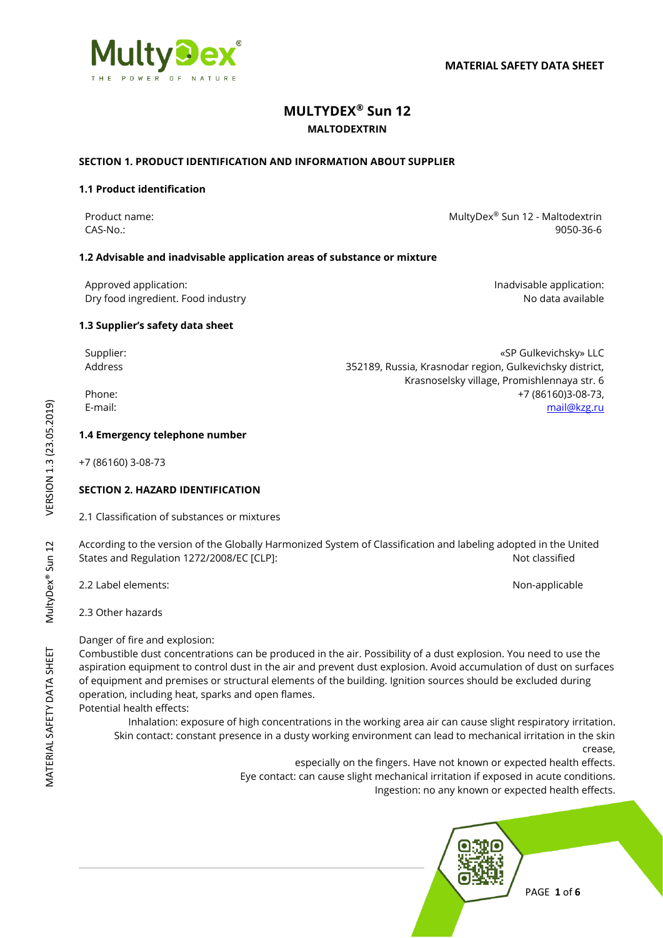# **MULTYDEX® Sun 12**

## **MALTODEXTRIN**

## **SECTION 1. PRODUCT IDENTIFICATION AND INFORMATION ABOUT SUPPLIER**

## **1.1 Product identification**

Product name: NultyDex® Sun 12 - Maltodextrin CAS-No.: 9050-36-6

Krasnoselsky village, Promishlennaya str. 6

## **1.2 Advisable and inadvisable application areas of substance or mixture**

Approved application: **Individually** Approved application: Dry food ingredient. Food industry and the state of the state of the state of the No data available

## **1.3 Supplier's safety data sheet**

Supplier: «SP Gulkevichsky» LLC Address 352189, Russia, Krasnodar region, Gulkevichsky district,

Phone: +7 (86160)3-08-73, E-mail: [mail@kzg.ru](mailto:mail@kzg.ru)

#### **1.4 Emergency telephone number**

+7 (86160) 3-08-73

## **SECTION 2. HAZARD IDENTIFICATION**

2.1 Classification of substances or mixtures

According to the version of the Globally Harmonized System of Classification and labeling adopted in the United States and Regulation 1272/2008/EC [CLP]: Not classified

2.2 Label elements: Non-applicable

2.3 Other hazards

Danger of fire and explosion:

Combustible dust concentrations can be produced in the air. Possibility of a dust explosion. You need to use the aspiration equipment to control dust in the air and prevent dust explosion. Avoid accumulation of dust on surfaces of equipment and premises or structural elements of the building. Ignition sources should be excluded during operation, including heat, sparks and open flames.

Potential health effects:

Inhalation: exposure of high concentrations in the working area air can cause slight respiratory irritation. Skin contact: constant presence in a dusty working environment can lead to mechanical irritation in the skin

crease, especially on the fingers. Have not known or expected health effects. Eye contact: can cause slight mechanical irritation if exposed in acute conditions. Ingestion: no any known or expected health effects.



VERSION 1.3 (23.05.2019) MATERIAL SAFETY DATA SHEET MultyDex® Sun 12 VERSION 1.3 (23.05.2019) MultyDex® Sun 12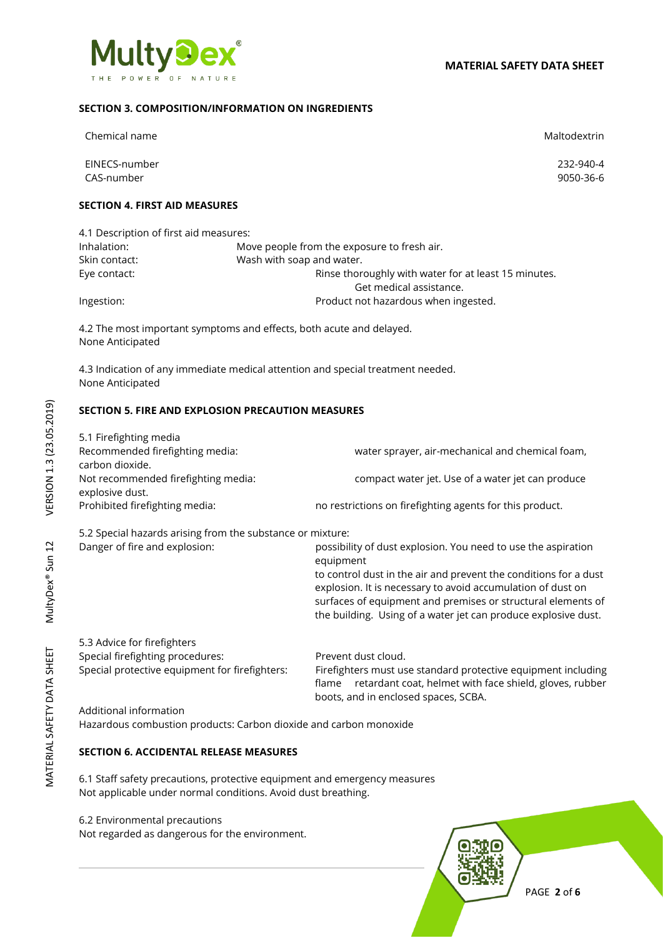

## **SECTION 3. COMPOSITION/INFORMATION ON INGREDIENTS**

| Chemical name                          |                                                                                 | Maltodextrin |
|----------------------------------------|---------------------------------------------------------------------------------|--------------|
| EINECS-number                          |                                                                                 | 232-940-4    |
| CAS-number                             |                                                                                 | 9050-36-6    |
| <b>SECTION 4. FIRST AID MEASURES</b>   |                                                                                 |              |
| 4.1 Description of first aid measures: |                                                                                 |              |
| Inhalation:                            | Move people from the exposure to fresh air.                                     |              |
| Skin contact:                          | Wash with soap and water.                                                       |              |
| Eye contact:                           | Rinse thoroughly with water for at least 15 minutes.                            |              |
|                                        | Get medical assistance.                                                         |              |
| Ingestion:                             | Product not hazardous when ingested.                                            |              |
| None Anticipated                       | 4.2 The most important symptoms and effects, both acute and delayed.            |              |
| None Anticipated                       | 4.3 Indication of any immediate medical attention and special treatment needed. |              |

## **SECTION 5. FIRE AND EXPLOSION PRECAUTION MEASURES**

| 5.1 Firefighting media              |                                                          |
|-------------------------------------|----------------------------------------------------------|
| Recommended firefighting media:     | water sprayer, air-mechanical and chemical foam,         |
| carbon dioxide.                     |                                                          |
| Not recommended firefighting media: | compact water jet. Use of a water jet can produce        |
| explosive dust.                     |                                                          |
| Prohibited firefighting media:      | no restrictions on firefighting agents for this product. |
|                                     |                                                          |

5.2 Special hazards arising from the substance or mixture:

| Danger of fire and explosion: | possibility of dust explosion. You need to use the aspiration                                                                   |
|-------------------------------|---------------------------------------------------------------------------------------------------------------------------------|
|                               | equipment                                                                                                                       |
|                               | to control dust in the air and prevent the conditions for a dust<br>explosion. It is necessary to avoid accumulation of dust on |
|                               | surfaces of equipment and premises or structural elements of<br>the building. Using of a water jet can produce explosive dust.  |
| 5.3 Advice for firefighters   |                                                                                                                                 |

Special firefighting procedures: Prevent dust cloud. Special protective equipment for firefighters: Firefighters must use standard protective equipment including flame retardant coat, helmet with face shield, gloves, rubber boots, and in enclosed spaces, SCBA. Additional information

Hazardous combustion products: Carbon dioxide and carbon monoxide

## **SECTION 6. ACCIDENTAL RELEASE MEASURES**

6.1 Staff safety precautions, protective equipment and emergency measures Not applicable under normal conditions. Avoid dust breathing.

6.2 Environmental precautions

Not regarded as dangerous for the environment.



VERSION 1.3 (23.05.2019) MATERIAL SAFETY DATA SHEET MultyDex® Sun 12 VERSION 1.3 (23.05.2019) MultyDex® Sun 12

PAGE **2** of **6**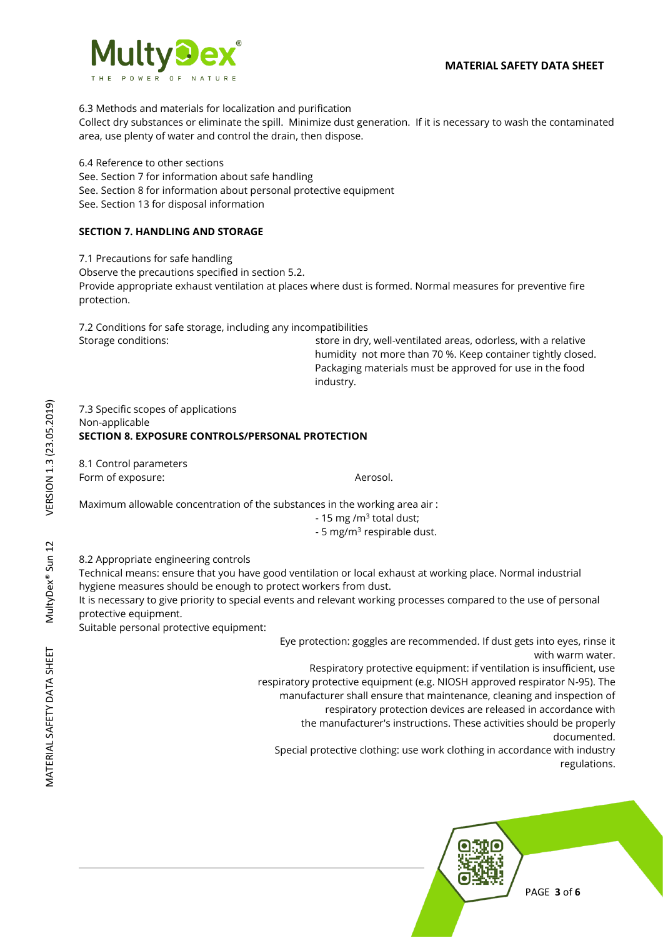

6.3 Methods and materials for localization and purification

Collect dry substances or eliminate the spill. Minimize dust generation. If it is necessary to wash the contaminated area, use plenty of water and control the drain, then dispose.

6.4 Reference to other sections See. Section 7 for information about safe handling See. Section 8 for information about personal protective equipment See. Section 13 for disposal information

## **SECTION 7. HANDLING AND STORAGE**

7.1 Precautions for safe handling Observe the precautions specified in section 5.2. Provide appropriate exhaust ventilation at places where dust is formed. Normal measures for preventive fire protection.

7.2 Conditions for safe storage, including any incompatibilities Storage conditions: store in dry, well-ventilated areas, odorless, with a relative

humidity not more than 70 %. Keep container tightly closed. Packaging materials must be approved for use in the food industry.

7.3 Specific scopes of applications Non-applicable **SECTION 8. EXPOSURE CONTROLS/PERSONAL PROTECTION** 

8.1 Control parameters Form of exposure:  $\blacksquare$ 

Maximum allowable concentration of the substances in the working area air :

- 15 mg /m<sup>3</sup> total dust;

- 5 mg/m<sup>3</sup> respirable dust.

8.2 Appropriate engineering controls

Technical means: ensure that you have good ventilation or local exhaust at working place. Normal industrial hygiene measures should be enough to protect workers from dust.

It is necessary to give priority to special events and relevant working processes compared to the use of personal protective equipment.

Suitable personal protective equipment:

Eye protection: goggles are recommended. If dust gets into eyes, rinse it with warm water.

Respiratory protective equipment: if ventilation is insufficient, use respiratory protective equipment (e.g. NIOSH approved respirator N-95). The manufacturer shall ensure that maintenance, cleaning and inspection of respiratory protection devices are released in accordance with

the manufacturer's instructions. These activities should be properly

documented.

Special protective clothing: use work clothing in accordance with industry regulations.



VERSION 1.3 (23.05.2019) MATERIAL SAFETY DATA SHEET MultyDex® Sun 12 VERSION 1.3 (23.05.2019) MultyDex® Sun 12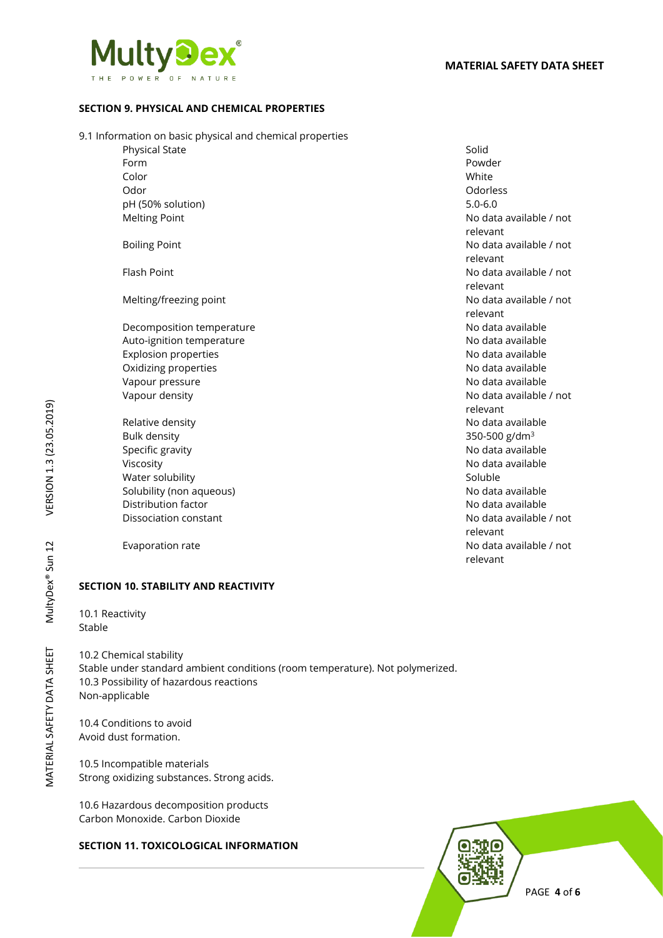

## **SECTION 9. PHYSICAL AND CHEMICAL PROPERTIES**

#### 9.1 Information on basic physical and chemical properties

Physical State Solid Form Powder Color White Odor Odorless pH (50% solution) 5.0-6.0

Decomposition temperature No data available Auto-ignition temperature No data available Explosion properties No data available Oxidizing properties **No data available** No data available Vapour pressure No data available No data available

Relative density **No data available** No data available Bulk density 350-500 g/dm<sup>3</sup> Specific gravity **Specific gravity** and the state of the state of the state of the Specific gravity and the state of the state of the state of the state of the state of the state of the state of the state of the state of t Viscosity **No data available** No data available Water solubility Soluble and Soluble Soluble Soluble Soluble Solubility (non aqueous) No data available in the solubility (non aqueous) No data available Distribution factor No data available in the Unit of the No data available in the No data available

## **SECTION 10. STABILITY AND REACTIVITY**

10.1 Reactivity Stable

10.2 Chemical stability Stable under standard ambient conditions (room temperature). Not polymerized. 10.3 Possibility of hazardous reactions Non-applicable

10.4 Conditions to avoid Avoid dust formation.

10.5 Incompatible materials Strong oxidizing substances. Strong acids.

10.6 Hazardous decomposition products Carbon Monoxide. Carbon Dioxide

## **SECTION 11. TOXICOLOGICAL INFORMATION**

Melting Point **Melting Point** 2001 12:00 Melting Point 2001 12:00 Melting Point relevant Boiling Point **No data available / not** No data available / not relevant Flash Point No data available / not relevant Melting/freezing point No data available / not relevant Vapour density **No data available / not** relevant Dissociation constant No data available / not relevant Evaporation rate **No data available / not** relevant

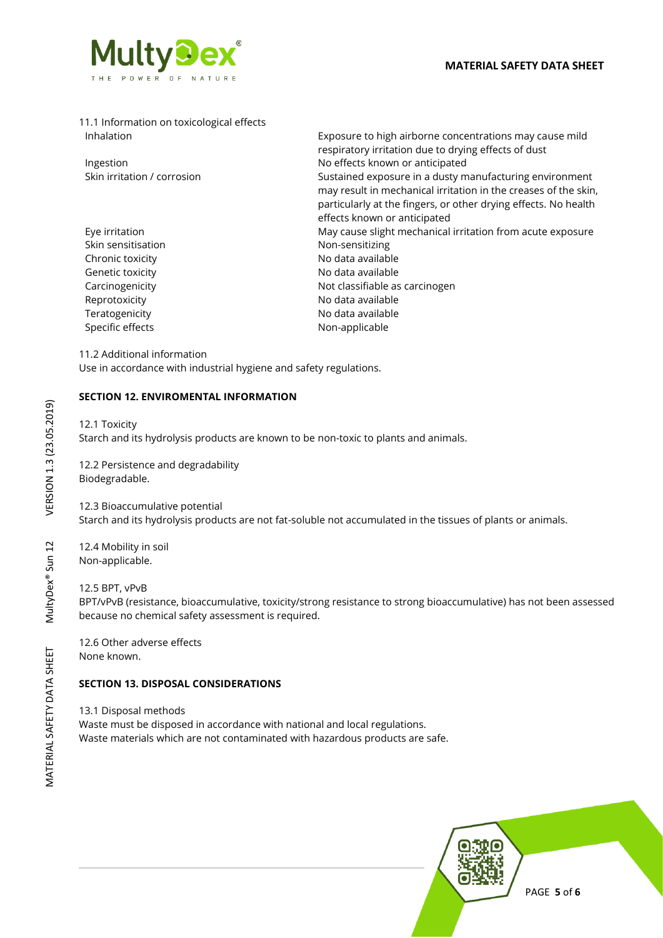

|            | 11.1 Information on toxicological effects |
|------------|-------------------------------------------|
| Inhalation |                                           |

Skin sensitisation Non-sensitizing

Exposure to high airborne concentrations may cause mild respiratory irritation due to drying effects of dust Ingestion **Internal Ingestion** No effects known or anticipated Skin irritation / corrosion Sustained exposure in a dusty manufacturing environment may result in mechanical irritation in the creases of the skin, particularly at the fingers, or other drying effects. No health effects known or anticipated Eye irritation **May cause slight mechanical irritation from acute exposure** May cause slight mechanical irritation from acute exposure Chronic toxicity **No observe that a** No data available Genetic toxicity **Genetic Lines Community** No data available Carcinogenicity **Not classifiable as carcinogen** Reprotoxicity **No data available** Teratogenicity **No data available** No data available Specific effects Non-applicable

#### 11.2 Additional information

Use in accordance with industrial hygiene and safety regulations.

## **SECTION 12. ENVIROMENTAL INFORMATION**

12.1 Toxicity Starch and its hydrolysis products are known to be non-toxic to plants and animals.

12.2 Persistence and degradability Biodegradable.

12.3 Bioaccumulative potential Starch and its hydrolysis products are not fat-soluble not accumulated in the tissues of plants or animals.

12.4 Mobility in soil Non-applicable.

## 12.5 BPT, vPvB

BPT/vPvB (resistance, bioaccumulative, toxicity/strong resistance to strong bioaccumulative) has not been assessed because no chemical safety assessment is required.

12.6 Other adverse effects None known.

## **SECTION 13. DISPOSAL CONSIDERATIONS**

13.1 Disposal methods

Waste must be disposed in accordance with national and local regulations. Waste materials which are not contaminated with hazardous products are safe.



PAGE **5** of **6**